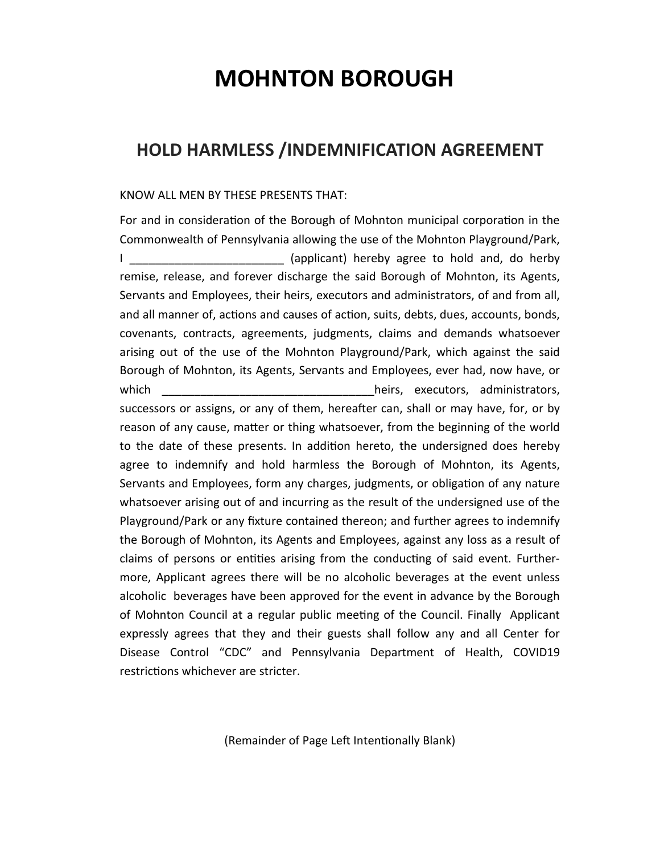## **MOHNTON BOROUGH**

## **HOLD HARMLESS /INDEMNIFICATION AGREEMENT**

## KNOW ALL MEN BY THESE PRESENTS THAT:

For and in consideration of the Borough of Mohnton municipal corporation in the Commonwealth of Pennsylvania allowing the use of the Mohnton Playground/Park, I \_\_\_\_\_\_\_\_\_\_\_\_\_\_\_\_\_\_\_\_\_\_\_\_ (applicant) hereby agree to hold and, do herby remise, release, and forever discharge the said Borough of Mohnton, its Agents, Servants and Employees, their heirs, executors and administrators, of and from all, and all manner of, actions and causes of action, suits, debts, dues, accounts, bonds, covenants, contracts, agreements, judgments, claims and demands whatsoever arising out of the use of the Mohnton Playground/Park, which against the said Borough of Mohnton, its Agents, Servants and Employees, ever had, now have, or which which  $\blacksquare$  which which  $\blacksquare$  which  $\blacksquare$  which  $\blacksquare$  and  $\blacksquare$  and  $\blacksquare$  and  $\blacksquare$  and  $\blacksquare$  and  $\blacksquare$  and  $\blacksquare$  and  $\blacksquare$  and  $\blacksquare$  and  $\blacksquare$  and  $\blacksquare$  and  $\blacksquare$  and  $\blacksquare$  and  $\blacksquare$  and  $\blacksquare$  and successors or assigns, or any of them, hereafter can, shall or may have, for, or by reason of any cause, matter or thing whatsoever, from the beginning of the world to the date of these presents. In addition hereto, the undersigned does hereby agree to indemnify and hold harmless the Borough of Mohnton, its Agents, Servants and Employees, form any charges, judgments, or obligation of any nature whatsoever arising out of and incurring as the result of the undersigned use of the Playground/Park or any fixture contained thereon; and further agrees to indemnify the Borough of Mohnton, its Agents and Employees, against any loss as a result of claims of persons or entities arising from the conducting of said event. Furthermore, Applicant agrees there will be no alcoholic beverages at the event unless alcoholic beverages have been approved for the event in advance by the Borough of Mohnton Council at a regular public meeting of the Council. Finally Applicant expressly agrees that they and their guests shall follow any and all Center for Disease Control "CDC" and Pennsylvania Department of Health, COVID19 restrictions whichever are stricter.

(Remainder of Page Left Intentionally Blank)